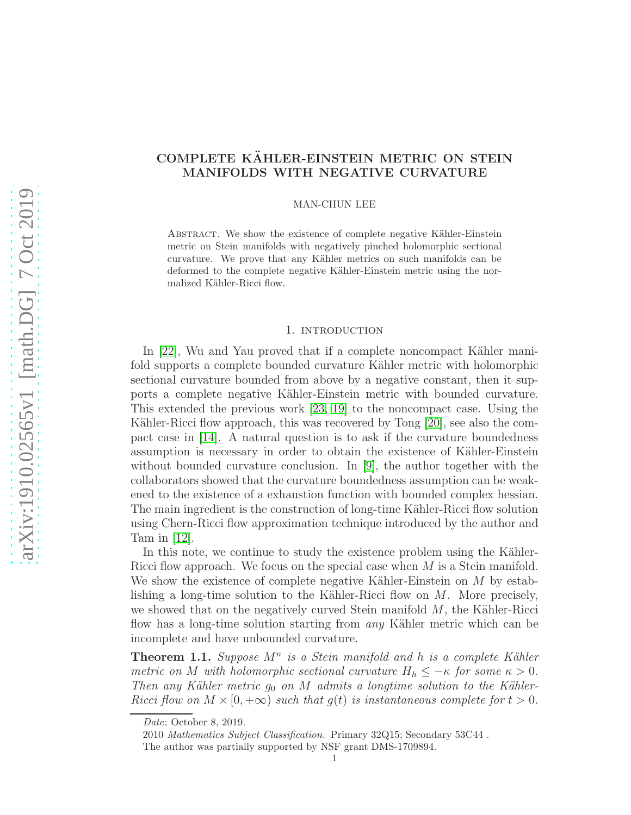# COMPLETE KÄHLER-EINSTEIN METRIC ON STEIN MANIFOLDS WITH NEGATIVE CURVATURE

# MAN-CHUN LEE

ABSTRACT. We show the existence of complete negative Kähler-Einstein metric on Stein manifolds with negatively pinched holomorphic sectional curvature. We prove that any Kähler metrics on such manifolds can be deformed to the complete negative Kähler-Einstein metric using the normalized Kähler-Ricci flow.

## 1. INTRODUCTION

In  $[22]$ , Wu and Yau proved that if a complete noncompact Kähler manifold supports a complete bounded curvature Kähler metric with holomorphic sectional curvature bounded from above by a negative constant, then it supports a complete negative K¨ahler-Einstein metric with bounded curvature. This extended the previous work [\[23,](#page-6-1) [19\]](#page-6-2) to the noncompact case. Using the Kähler-Ricci flow approach, this was recovered by Tong [\[20\]](#page-6-3), see also the compact case in [\[14\]](#page-6-4). A natural question is to ask if the curvature boundedness assumption is necessary in order to obtain the existence of Kähler-Einstein without bounded curvature conclusion. In  $[9]$ , the author together with the collaborators showed that the curvature boundedness assumption can be weakened to the existence of a exhaustion function with bounded complex hessian. The main ingredient is the construction of long-time Kähler-Ricci flow solution using Chern-Ricci flow approximation technique introduced by the author and Tam in [\[12\]](#page-6-6).

In this note, we continue to study the existence problem using the Kähler-Ricci flow approach. We focus on the special case when M is a Stein manifold. We show the existence of complete negative Kähler-Einstein on  $M$  by establishing a long-time solution to the Kähler-Ricci flow on  $M$ . More precisely, we showed that on the negatively curved Stein manifold  $M$ , the Kähler-Ricci flow has a long-time solution starting from *any* Kähler metric which can be incomplete and have unbounded curvature.

<span id="page-0-0"></span>**Theorem 1.1.** Suppose  $M^n$  is a Stein manifold and h is a complete Kähler metric on M with holomorphic sectional curvature  $H_h \leq -\kappa$  for some  $\kappa > 0$ . Then any Kähler metric  $g_0$  on M admits a longtime solution to the Kähler-Ricci flow on  $M \times [0, +\infty)$  such that  $g(t)$  is instantaneous complete for  $t > 0$ .

Date: October 8, 2019.

<sup>2010</sup> Mathematics Subject Classification. Primary 32Q15; Secondary 53C44 . The author was partially supported by NSF grant DMS-1709894.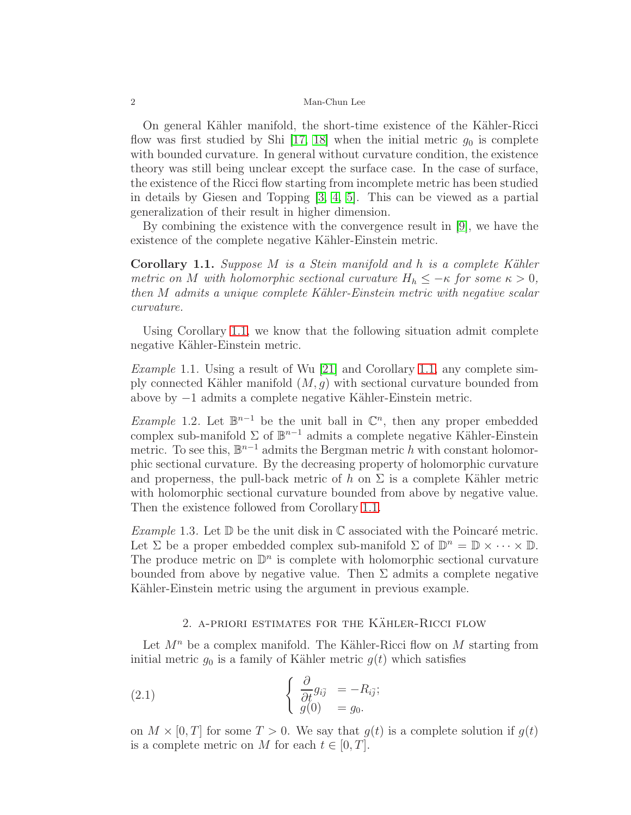### 2 Man-Chun Lee

On general Kähler manifold, the short-time existence of the Kähler-Ricci flow was first studied by Shi [\[17,](#page-6-7) [18\]](#page-6-8) when the initial metric  $g_0$  is complete with bounded curvature. In general without curvature condition, the existence theory was still being unclear except the surface case. In the case of surface, the existence of the Ricci flow starting from incomplete metric has been studied in details by Giesen and Topping [\[3,](#page-5-0) [4,](#page-6-9) [5\]](#page-6-10). This can be viewed as a partial generalization of their result in higher dimension.

By combining the existence with the convergence result in [\[9\]](#page-6-5), we have the existence of the complete negative Kähler-Einstein metric.

<span id="page-1-0"></span>**Corollary 1.1.** Suppose M is a Stein manifold and h is a complete Kähler metric on M with holomorphic sectional curvature  $H_h \leq -\kappa$  for some  $\kappa > 0$ , then  $M$  admits a unique complete Kähler-Einstein metric with negative scalar curvature.

Using Corollary [1.1,](#page-1-0) we know that the following situation admit complete negative Kähler-Einstein metric.

Example 1.1. Using a result of Wu [\[21\]](#page-6-11) and Corollary [1.1,](#page-1-0) any complete simply connected Kähler manifold  $(M, g)$  with sectional curvature bounded from above by −1 admits a complete negative K¨ahler-Einstein metric.

Example 1.2. Let  $\mathbb{B}^{n-1}$  be the unit ball in  $\mathbb{C}^n$ , then any proper embedded complex sub-manifold  $\Sigma$  of  $\mathbb{B}^{n-1}$  admits a complete negative Kähler-Einstein metric. To see this,  $\mathbb{B}^{n-1}$  admits the Bergman metric h with constant holomorphic sectional curvature. By the decreasing property of holomorphic curvature and properness, the pull-back metric of h on  $\Sigma$  is a complete Kähler metric with holomorphic sectional curvature bounded from above by negative value. Then the existence followed from Corollary [1.1.](#page-1-0)

Example 1.3. Let  $\mathbb D$  be the unit disk in  $\mathbb C$  associated with the Poincaré metric. Let  $\Sigma$  be a proper embedded complex sub-manifold  $\Sigma$  of  $\mathbb{D}^n = \mathbb{D} \times \cdots \times \mathbb{D}$ . The produce metric on  $\mathbb{D}^n$  is complete with holomorphic sectional curvature bounded from above by negative value. Then  $\Sigma$  admits a complete negative Kähler-Einstein metric using the argument in previous example.

# 2. A-PRIORI ESTIMATES FOR THE KÄHLER-RICCI FLOW

Let  $M^n$  be a complex manifold. The Kähler-Ricci flow on M starting from initial metric  $g_0$  is a family of Kähler metric  $g(t)$  which satisfies

(2.1) 
$$
\begin{cases} \frac{\partial}{\partial t} g_{i\bar{j}} = -R_{i\bar{j}}; \\ g(0) = g_0. \end{cases}
$$

on  $M \times [0, T]$  for some  $T > 0$ . We say that  $g(t)$  is a complete solution if  $g(t)$ is a complete metric on M for each  $t \in [0, T]$ .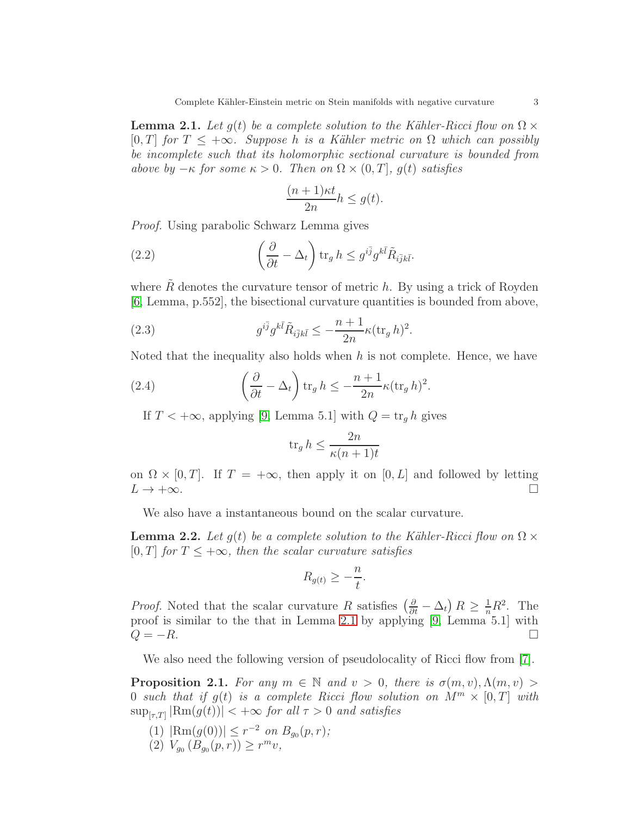<span id="page-2-0"></span>**Lemma 2.1.** Let  $g(t)$  be a complete solution to the Kähler-Ricci flow on  $\Omega \times$ [0, T] for  $T \leq +\infty$ . Suppose h is a Kähler metric on  $\Omega$  which can possibly be incomplete such that its holomorphic sectional curvature is bounded from above by  $-\kappa$  for some  $\kappa > 0$ . Then on  $\Omega \times (0, T]$ , g(t) satisfies

$$
\frac{(n+1)\kappa t}{2n}h \le g(t).
$$

Proof. Using parabolic Schwarz Lemma gives

(2.2) 
$$
\left(\frac{\partial}{\partial t} - \Delta_t\right) \text{tr}_g h \leq g^{i\bar{j}} g^{k\bar{l}} \tilde{R}_{i\bar{j}k\bar{l}}.
$$

where  $\tilde{R}$  denotes the curvature tensor of metric h. By using a trick of Royden [\[6,](#page-6-12) Lemma, p.552], the bisectional curvature quantities is bounded from above,

(2.3) 
$$
g^{i\bar{j}}g^{k\bar{l}}\tilde{R}_{i\bar{j}k\bar{l}} \leq -\frac{n+1}{2n}\kappa(\text{tr}_g h)^2.
$$

Noted that the inequality also holds when  $h$  is not complete. Hence, we have

(2.4) 
$$
\left(\frac{\partial}{\partial t} - \Delta_t\right) \operatorname{tr}_g h \leq -\frac{n+1}{2n} \kappa (\operatorname{tr}_g h)^2.
$$

If  $T < +\infty$ , applying [\[9,](#page-6-5) Lemma 5.1] with  $Q = \text{tr}_q h$  gives

$$
\operatorname{tr}_g h \le \frac{2n}{\kappa (n+1)t}
$$

on  $\Omega \times [0, T]$ . If  $T = +\infty$ , then apply it on  $[0, L]$  and followed by letting  $L \to +\infty$ .  $L \rightarrow +\infty$ .

We also have a instantaneous bound on the scalar curvature.

<span id="page-2-1"></span>**Lemma 2.2.** Let  $q(t)$  be a complete solution to the Kähler-Ricci flow on  $\Omega \times$ [0, T] for  $T \leq +\infty$ , then the scalar curvature satisfies

$$
R_{g(t)} \geq -\frac{n}{t}.
$$

*Proof.* Noted that the scalar curvature R satisfies  $\left(\frac{\partial}{\partial t} - \Delta_t\right)R \geq \frac{1}{n}R^2$ . The proof is similar to the that in Lemma [2.1](#page-2-0) by applying [\[9,](#page-6-5) Lemma 5.1] with  $Q = -R$ .

We also need the following version of pseudolocality of Ricci flow from [\[7\]](#page-6-13).

<span id="page-2-2"></span>**Proposition 2.1.** For any  $m \in \mathbb{N}$  and  $v > 0$ , there is  $\sigma(m, v), \Lambda(m, v) >$ 0 such that if  $q(t)$  is a complete Ricci flow solution on  $M^m \times [0,T]$  with  $\sup_{[\tau,T]} |\text{Rm}(g(t))| < +\infty$  for all  $\tau > 0$  and satisfies

- (1)  $|\text{Rm}(g(0))| \leq r^{-2}$  on  $B_{g_0}(p,r)$ ;
- (2)  $V_{g_0}(B_{g_0}(p,r)) \ge r^m v,$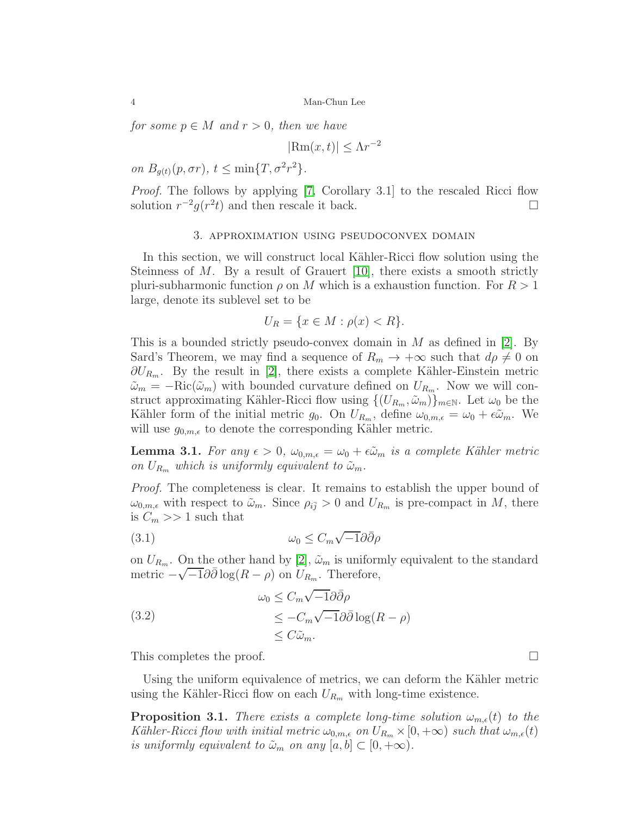for some  $p \in M$  and  $r > 0$ , then we have

$$
|\text{Rm}(x,t)| \le \Lambda r^{-2}
$$

on  $B_{g(t)}(p, \sigma r)$ ,  $t \leq \min\{T, \sigma^2 r^2\}$ .

<span id="page-3-1"></span>Proof. The follows by applying [\[7,](#page-6-13) Corollary 3.1] to the rescaled Ricci flow solution  $r^{-2}g(r^2t)$  and then rescale it back.  $□$ 

### 3. approximation using pseudoconvex domain

In this section, we will construct local Kähler-Ricci flow solution using the Steinness of  $M$ . By a result of Grauert [\[10\]](#page-6-14), there exists a smooth strictly pluri-subharmonic function  $\rho$  on M which is a exhaustion function. For  $R > 1$ large, denote its sublevel set to be

$$
U_R = \{x \in M : \rho(x) < R\}.
$$

This is a bounded strictly pseudo-convex domain in  $M$  as defined in [\[2\]](#page-5-1). By Sard's Theorem, we may find a sequence of  $R_m \to +\infty$  such that  $d\rho \neq 0$  on  $\partial U_{R_m}$ . By the result in [\[2\]](#page-5-1), there exists a complete Kähler-Einstein metric  $\tilde{\omega}_m = -\text{Ric}(\tilde{\omega}_m)$  with bounded curvature defined on  $U_{R_m}$ . Now we will construct approximating Kähler-Ricci flow using  $\{(U_{R_m}, \tilde{\omega}_m)\}_{m\in\mathbb{N}}$ . Let  $\omega_0$  be the Kähler form of the initial metric  $g_0$ . On  $U_{R_m}$ , define  $\omega_{0,m,\epsilon} = \omega_0 + \epsilon \tilde{\omega}_m$ . We will use  $g_{0,m,\epsilon}$  to denote the corresponding Kähler metric.

<span id="page-3-0"></span>**Lemma 3.1.** For any  $\epsilon > 0$ ,  $\omega_{0,m,\epsilon} = \omega_0 + \epsilon \tilde{\omega}_m$  is a complete Kähler metric on  $U_{R_m}$  which is uniformly equivalent to  $\tilde{\omega}_m$ .

Proof. The completeness is clear. It remains to establish the upper bound of  $\omega_{0,m,\epsilon}$  with respect to  $\tilde{\omega}_m$ . Since  $\rho_{i\bar{j}} > 0$  and  $U_{R_m}$  is pre-compact in M, there is  $C_m >> 1$  such that

(3.1) 
$$
\omega_0 \leq C_m \sqrt{-1} \partial \bar{\partial} \rho
$$

on  $U_{R_m}$ . On the other hand by [\[2\]](#page-5-1),  $\tilde{\omega}_m$  is uniformly equivalent to the standard metric  $-\sqrt{-1}\partial\bar{\partial}\log(R-\rho)$  on  $U_{R_m}$ . Therefore,

(3.2)  
\n
$$
\omega_0 \leq C_m \sqrt{-1} \partial \bar{\partial} \rho
$$
\n
$$
\leq -C_m \sqrt{-1} \partial \bar{\partial} \log(R - \rho)
$$
\n
$$
\leq C \tilde{\omega}_m.
$$

This completes the proof.  $\Box$ 

Using the uniform equivalence of metrics, we can deform the Kähler metric using the Kähler-Ricci flow on each  $U_{R_m}$  with long-time existence.

**Proposition 3.1.** There exists a complete long-time solution  $\omega_{m,\epsilon}(t)$  to the Kähler-Ricci flow with initial metric  $\omega_{0,m,\epsilon}$  on  $U_{R_m} \times [0,+\infty)$  such that  $\omega_{m,\epsilon}(t)$ is uniformly equivalent to  $\tilde{\omega}_m$  on any  $[a, b] \subset [0, +\infty)$ .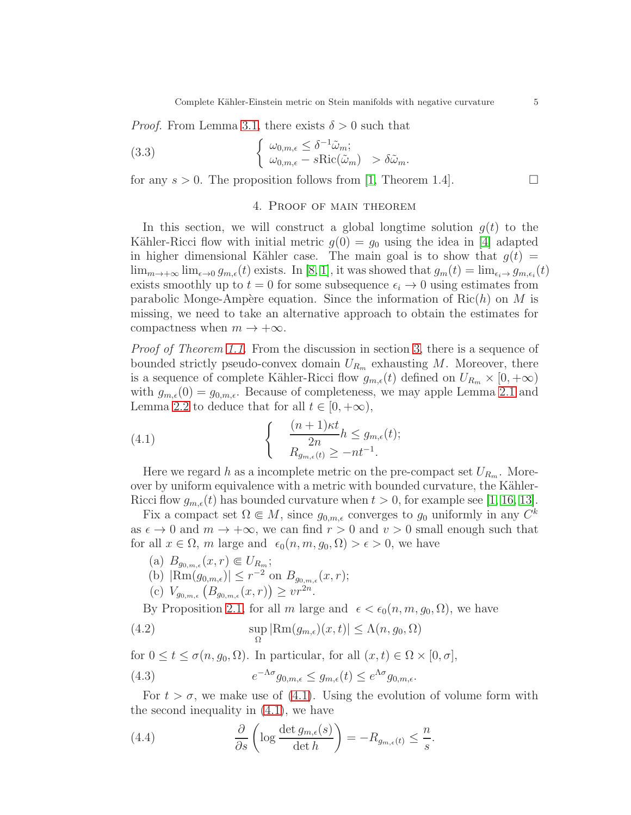*Proof.* From Lemma [3.1,](#page-3-0) there exists  $\delta > 0$  such that

(3.3) 
$$
\begin{cases} \omega_{0,m,\epsilon} \leq \delta^{-1} \tilde{\omega}_m; \\ \omega_{0,m,\epsilon} - s \text{Ric}(\tilde{\omega}_m) > \delta \tilde{\omega}_m. \end{cases}
$$

for any  $s > 0$ . The proposition follows from [\[1,](#page-5-2) Theorem 1.4].

# 4. Proof of main theorem

In this section, we will construct a global longtime solution  $g(t)$  to the Kähler-Ricci flow with initial metric  $g(0) = g_0$  using the idea in [\[4\]](#page-6-9) adapted in higher dimensional Kähler case. The main goal is to show that  $g(t) =$  $\lim_{m\to+\infty}\lim_{\epsilon\to 0}g_{m,\epsilon}(t)$  exists. In [\[8,](#page-6-15) [1\]](#page-5-2), it was showed that  $g_m(t) = \lim_{\epsilon_i\to 0}g_{m,\epsilon_i}(t)$ exists smoothly up to  $t = 0$  for some subsequence  $\epsilon_i \rightarrow 0$  using estimates from parabolic Monge-Ampère equation. Since the information of  $Ric(h)$  on M is missing, we need to take an alternative approach to obtain the estimates for compactness when  $m \to +\infty$ .

Proof of Theorem [1.1.](#page-0-0) From the discussion in section [3,](#page-3-1) there is a sequence of bounded strictly pseudo-convex domain  $U_{R_m}$  exhausting M. Moreover, there is a sequence of complete Kähler-Ricci flow  $g_{m,\epsilon}(t)$  defined on  $U_{R_m} \times [0,+\infty)$ with  $g_{m,\epsilon}(0) = g_{0,m,\epsilon}$ . Because of completeness, we may apple Lemma [2.1](#page-2-0) and Lemma [2.2](#page-2-1) to deduce that for all  $t \in [0, +\infty)$ ,

<span id="page-4-0"></span>(4.1) 
$$
\begin{cases} \frac{(n+1)\kappa t}{2n}h \leq g_{m,\epsilon}(t); \\ R_{g_{m,\epsilon}(t)} \geq -nt^{-1}. \end{cases}
$$

Here we regard h as a incomplete metric on the pre-compact set  $U_{R_m}$ . Moreover by uniform equivalence with a metric with bounded curvature, the Kähler-Ricci flow  $g_{m,\epsilon}(t)$  has bounded curvature when  $t > 0$ , for example see [\[1,](#page-5-2) [16,](#page-6-16) [13\]](#page-6-17).

Fix a compact set  $\Omega \in M$ , since  $g_{0,m,\epsilon}$  converges to  $g_0$  uniformly in any  $C^k$ as  $\epsilon \to 0$  and  $m \to +\infty$ , we can find  $r > 0$  and  $v > 0$  small enough such that for all  $x \in \Omega$ , m large and  $\epsilon_0(n, m, g_0, \Omega) > \epsilon > 0$ , we have

- (a)  $B_{g_{0,m,\epsilon}}(x,r) \in U_{R_m};$
- (b)  $|\text{Rm}(g_{0,m,\epsilon})| \leq r^{-2}$  on  $B_{g_{0,m,\epsilon}}(x,r);$
- (c)  $V_{g_{0,m,\epsilon}}(B_{g_{0,m,\epsilon}}(x,r)) \geq v r^{2n}$ .

By Proposition [2.1,](#page-2-2) for all m large and  $\epsilon < \epsilon_0(n, m, g_0, \Omega)$ , we have

(4.2) 
$$
\sup_{\Omega} |\text{Rm}(g_{m,\epsilon})(x,t)| \leq \Lambda(n,g_0,\Omega)
$$

for  $0 \le t \le \sigma(n, g_0, \Omega)$ . In particular, for all  $(x, t) \in \Omega \times [0, \sigma]$ ,

<span id="page-4-1"></span>(4.3) 
$$
e^{-\Lambda \sigma} g_{0,m,\epsilon} \le g_{m,\epsilon}(t) \le e^{\Lambda \sigma} g_{0,m,\epsilon}.
$$

For  $t > \sigma$ , we make use of [\(4.1\)](#page-4-0). Using the evolution of volume form with the second inequality in [\(4.1\)](#page-4-0), we have

(4.4) 
$$
\frac{\partial}{\partial s} \left( \log \frac{\det g_{m,\epsilon}(s)}{\det h} \right) = -R_{g_{m,\epsilon}(t)} \leq \frac{n}{s}.
$$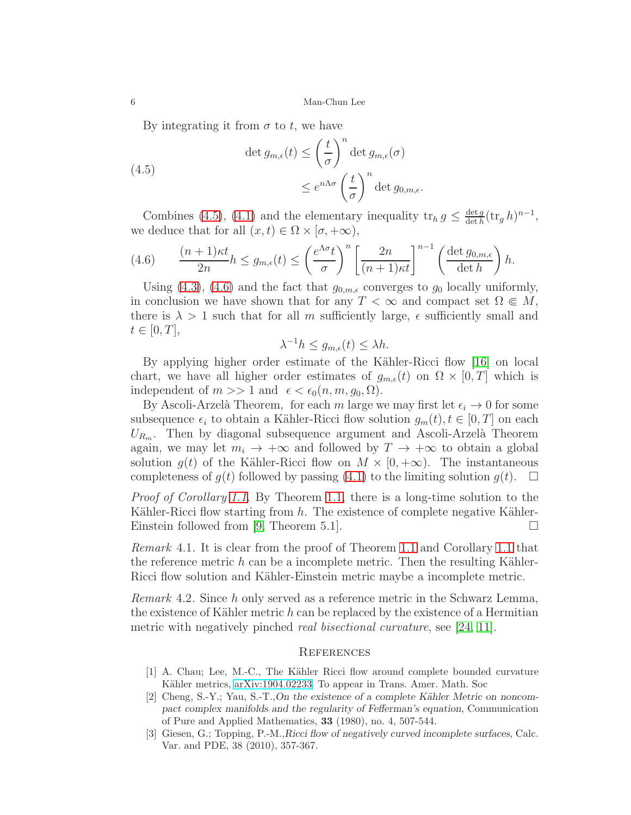By integrating it from  $\sigma$  to t, we have

<span id="page-5-3"></span>(4.5)  
\n
$$
\det g_{m,\epsilon}(t) \le \left(\frac{t}{\sigma}\right)^n \det g_{m,\epsilon}(\sigma)
$$
\n
$$
\le e^{n\Lambda\sigma} \left(\frac{t}{\sigma}\right)^n \det g_{0,m,\epsilon}.
$$

Combines [\(4.5\)](#page-5-3), [\(4.1\)](#page-4-0) and the elementary inequality  $tr_h g \n\leq \frac{\det g}{\det h}$  $\frac{\det g}{\det h}(\operatorname{tr}_g h)^{n-1},$ we deduce that for all  $(x, t) \in \Omega \times [\sigma, +\infty)$ ,

<span id="page-5-4"></span>(4.6) 
$$
\frac{(n+1)\kappa t}{2n}h \le g_{m,\epsilon}(t) \le \left(\frac{e^{\Lambda \sigma}t}{\sigma}\right)^n \left[\frac{2n}{(n+1)\kappa t}\right]^{n-1} \left(\frac{\det g_{0,m,\epsilon}}{\det h}\right)h.
$$

Using [\(4.3\)](#page-4-1), [\(4.6\)](#page-5-4) and the fact that  $g_{0,m,\epsilon}$  converges to  $g_0$  locally uniformly, in conclusion we have shown that for any  $T < \infty$  and compact set  $\Omega \in M$ , there is  $\lambda > 1$  such that for all m sufficiently large,  $\epsilon$  sufficiently small and  $t\in[0,T],$ 

$$
\lambda^{-1}h \le g_{m,\epsilon}(t) \le \lambda h.
$$

By applying higher order estimate of the Kähler-Ricci flow [\[16\]](#page-6-16) on local chart, we have all higher order estimates of  $g_{m,\epsilon}(t)$  on  $\Omega \times [0,T]$  which is independent of  $m >> 1$  and  $\epsilon < \epsilon_0(n, m, g_0, \Omega)$ .

By Ascoli-Arzelà Theorem, for each m large we may first let  $\epsilon_i \to 0$  for some subsequence  $\epsilon_i$  to obtain a Kähler-Ricci flow solution  $g_m(t)$ ,  $t \in [0, T]$  on each  $U_{R_m}$ . Then by diagonal subsequence argument and Ascoli-Arzelà Theorem again, we may let  $m_i \to +\infty$  and followed by  $T \to +\infty$  to obtain a global solution  $g(t)$  of the Kähler-Ricci flow on  $M \times [0, +\infty)$ . The instantaneous completeness of  $g(t)$  followed by passing (4.1) to the limiting solution  $g(t)$ .  $\square$ completeness of  $g(t)$  followed by passing [\(4.1\)](#page-4-0) to the limiting solution  $g(t)$ .

Proof of Corollary [1.1.](#page-1-0) By Theorem [1.1,](#page-0-0) there is a long-time solution to the Kähler-Ricci flow starting from  $h$ . The existence of complete negative Kähler-Einstein followed from [\[9,](#page-6-5) Theorem 5.1].

Remark 4.1. It is clear from the proof of Theorem [1.1](#page-0-0) and Corollary [1.1](#page-1-0) that the reference metric  $h$  can be a incomplete metric. Then the resulting Kähler-Ricci flow solution and Kähler-Einstein metric maybe a incomplete metric.

Remark 4.2. Since h only served as a reference metric in the Schwarz Lemma, the existence of Kähler metric h can be replaced by the existence of a Hermitian metric with negatively pinched real bisectional curvature, see [\[24,](#page-6-18) [11\]](#page-6-19).

# **REFERENCES**

- <span id="page-5-2"></span>[1] A. Chau; Lee, M.-C., The K¨ahler Ricci flow around complete bounded curvature Kähler metrics, [arXiv:1904.02233.](http://arxiv.org/abs/1904.02233) To appear in Trans. Amer. Math. Soc
- <span id="page-5-1"></span> $[2]$  Cheng, S.-Y.; Yau, S.-T.,On the existence of a complete Kähler Metric on noncompact complex manifolds and the regularity of Fefferman's equation, Communication of Pure and Applied Mathematics, 33 (1980), no. 4, 507-544.
- <span id="page-5-0"></span>[3] Giesen, G.; Topping, P.-M.,Ricci flow of negatively curved incomplete surfaces, Calc. Var. and PDE, 38 (2010), 357-367.